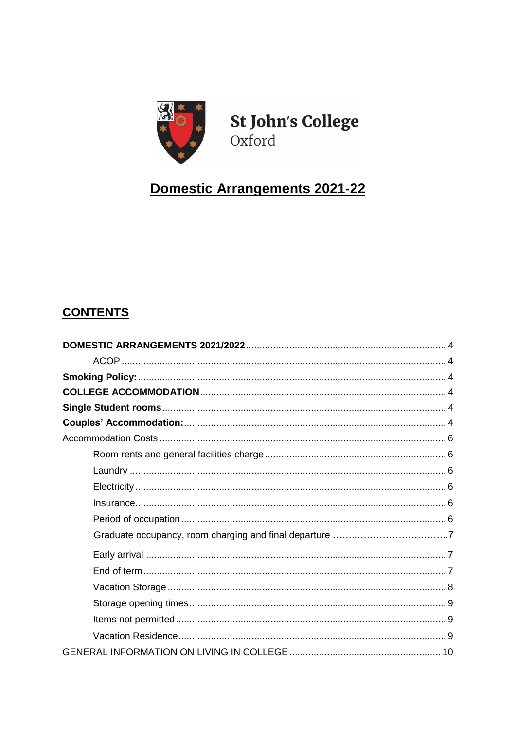

**St John's College** Oxford

# Domestic Arrangements 2021-22

# **CONTENTS**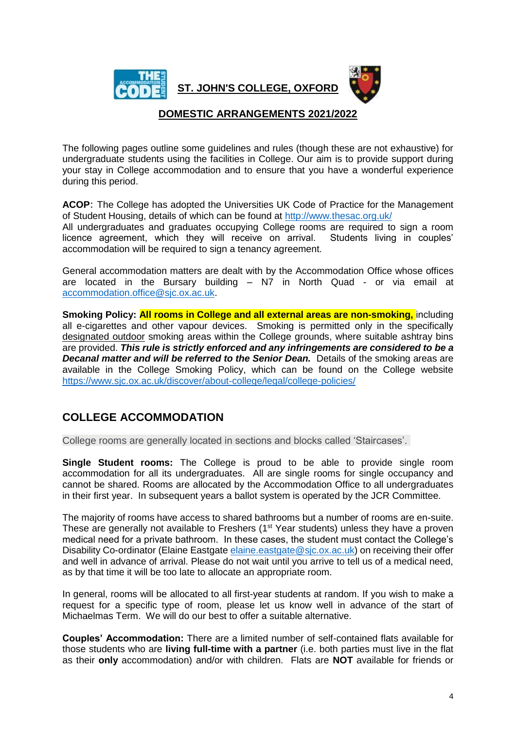

**ST. JOHN'S COLLEGE, OXFORD**



# **DOMESTIC ARRANGEMENTS 2021/2022**

<span id="page-3-0"></span>The following pages outline some guidelines and rules (though these are not exhaustive) for undergraduate students using the facilities in College. Our aim is to provide support during your stay in College accommodation and to ensure that you have a wonderful experience during this period.

<span id="page-3-1"></span>**ACOP:** The College has adopted the Universities UK Code of Practice for the Management of Student Housing, details of which can be found at<http://www.thesac.org.uk/> All undergraduates and graduates occupying College rooms are required to sign a room licence agreement, which they will receive on arrival. Students living in couples' accommodation will be required to sign a tenancy agreement.

General accommodation matters are dealt with by the Accommodation Office whose offices are located in the Bursary building  $- N7$  in North Quad - or via email at [accommodation.office@sjc.ox.ac.uk.](mailto:accommodation.office@sjc.ox.ac.uk)

<span id="page-3-2"></span>**Smoking Policy: All rooms in College and all external areas are non-smoking,** including all e-cigarettes and other vapour devices. Smoking is permitted only in the specifically designated outdoor smoking areas within the College grounds, where suitable ashtray bins are provided. *This rule is strictly enforced and any infringements are considered to be a Decanal matter and will be referred to the Senior Dean.* Details of the smoking areas are available in the College Smoking Policy, which can be found on the College website <https://www.sjc.ox.ac.uk/discover/about-college/legal/college-policies/>

# <span id="page-3-3"></span>**COLLEGE ACCOMMODATION**

College rooms are generally located in sections and blocks called 'Staircases'.

<span id="page-3-4"></span>**Single Student rooms:** The College is proud to be able to provide single room accommodation for all its undergraduates. All are single rooms for single occupancy and cannot be shared. Rooms are allocated by the Accommodation Office to all undergraduates in their first year. In subsequent years a ballot system is operated by the JCR Committee.

The majority of rooms have access to shared bathrooms but a number of rooms are en-suite. These are generally not available to Freshers  $(1<sup>st</sup> Year students)$  unless they have a proven medical need for a private bathroom. In these cases, the student must contact the College's Disability Co-ordinator (Elaine Eastgate *elaine.eastgate@sjc.ox.ac.uk*) on receiving their offer and well in advance of arrival. Please do not wait until you arrive to tell us of a medical need, as by that time it will be too late to allocate an appropriate room.

In general, rooms will be allocated to all first-year students at random. If you wish to make a request for a specific type of room, please let us know well in advance of the start of Michaelmas Term. We will do our best to offer a suitable alternative.

<span id="page-3-5"></span>**Couples' Accommodation:** There are a limited number of self-contained flats available for those students who are **living full-time with a partner** (i.e. both parties must live in the flat as their **only** accommodation) and/or with children. Flats are **NOT** available for friends or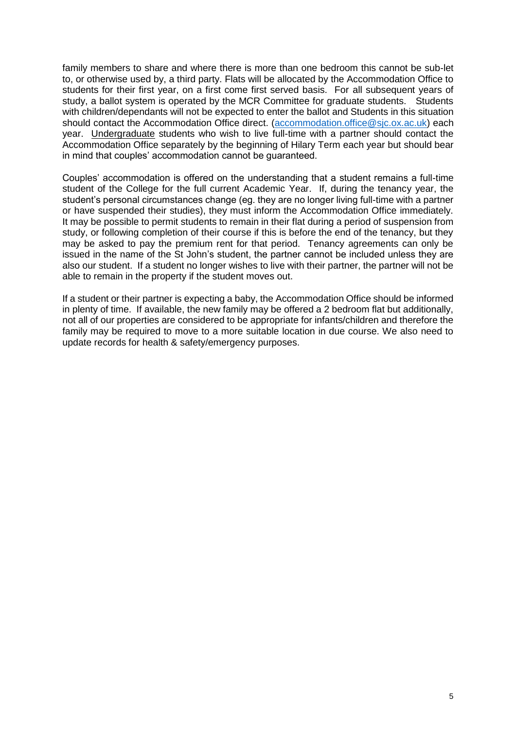family members to share and where there is more than one bedroom this cannot be sub-let to, or otherwise used by, a third party. Flats will be allocated by the Accommodation Office to students for their first year, on a first come first served basis. For all subsequent years of study, a ballot system is operated by the MCR Committee for graduate students. Students with children/dependants will not be expected to enter the ballot and Students in this situation should contact the Accommodation Office direct. [\(accommodation.office@sjc.ox.ac.uk\)](mailto:accommodation.office@sjc.ox.ac.uk) each year. Undergraduate students who wish to live full-time with a partner should contact the Accommodation Office separately by the beginning of Hilary Term each year but should bear in mind that couples' accommodation cannot be guaranteed.

Couples' accommodation is offered on the understanding that a student remains a full-time student of the College for the full current Academic Year. If, during the tenancy year, the student's personal circumstances change (eg. they are no longer living full-time with a partner or have suspended their studies), they must inform the Accommodation Office immediately. It may be possible to permit students to remain in their flat during a period of suspension from study, or following completion of their course if this is before the end of the tenancy, but they may be asked to pay the premium rent for that period. Tenancy agreements can only be issued in the name of the St John's student, the partner cannot be included unless they are also our student. If a student no longer wishes to live with their partner, the partner will not be able to remain in the property if the student moves out.

If a student or their partner is expecting a baby, the Accommodation Office should be informed in plenty of time. If available, the new family may be offered a 2 bedroom flat but additionally, not all of our properties are considered to be appropriate for infants/children and therefore the family may be required to move to a more suitable location in due course. We also need to update records for health & safety/emergency purposes.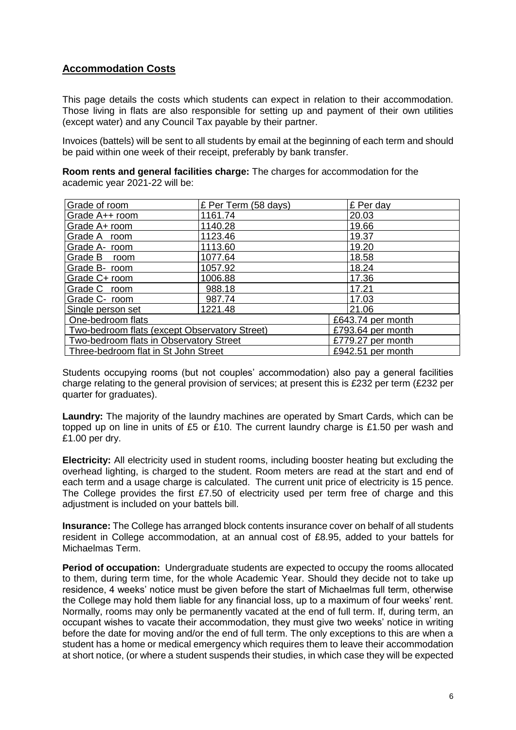# <span id="page-5-0"></span>**Accommodation Costs**

This page details the costs which students can expect in relation to their accommodation. Those living in flats are also responsible for setting up and payment of their own utilities (except water) and any Council Tax payable by their partner.

Invoices (battels) will be sent to all students by email at the beginning of each term and should be paid within one week of their receipt, preferably by bank transfer.

<span id="page-5-1"></span>**Room rents and general facilities charge:** The charges for accommodation for the academic year 2021-22 will be:

| Grade of room                                 | £ Per Term (58 days) | £ Per day         |
|-----------------------------------------------|----------------------|-------------------|
| Grade A++ room                                | 1161.74              | 20.03             |
| Grade A+ room                                 | 1140.28              | 19.66             |
| Grade A room                                  | 1123.46              | 19.37             |
| Grade A- room                                 | 1113.60              | 19.20             |
| Grade B room                                  | 1077.64              | 18.58             |
| Grade B- room                                 | 1057.92              | 18.24             |
| Grade C+ room                                 | 1006.88              | 17.36             |
| Grade C room                                  | 988.18               | 17.21             |
| Grade C- room                                 | 987.74               | 17.03             |
| Single person set                             | 1221.48              | 21.06             |
| One-bedroom flats                             |                      | £643.74 per month |
| Two-bedroom flats (except Observatory Street) |                      | £793.64 per month |
| Two-bedroom flats in Observatory Street       |                      | £779.27 per month |
| Three-bedroom flat in St John Street          |                      | £942.51 per month |

Students occupying rooms (but not couples' accommodation) also pay a general facilities charge relating to the general provision of services; at present this is £232 per term (£232 per quarter for graduates).

<span id="page-5-2"></span>**Laundry:** The majority of the laundry machines are operated by Smart Cards, which can be topped up on line in units of £5 or £10. The current laundry charge is £1.50 per wash and £1.00 per dry.

<span id="page-5-3"></span>**Electricity:** All electricity used in student rooms, including booster heating but excluding the overhead lighting, is charged to the student. Room meters are read at the start and end of each term and a usage charge is calculated. The current unit price of electricity is 15 pence. The College provides the first £7.50 of electricity used per term free of charge and this adjustment is included on your battels bill.

<span id="page-5-4"></span>**Insurance:** The College has arranged block contents insurance cover on behalf of all students resident in College accommodation, at an annual cost of £8.95, added to your battels for Michaelmas Term.

<span id="page-5-5"></span>**Period of occupation:** Undergraduate students are expected to occupy the rooms allocated to them, during term time, for the whole Academic Year. Should they decide not to take up residence, 4 weeks' notice must be given before the start of Michaelmas full term, otherwise the College may hold them liable for any financial loss, up to a maximum of four weeks' rent. Normally, rooms may only be permanently vacated at the end of full term. If, during term, an occupant wishes to vacate their accommodation, they must give two weeks' notice in writing before the date for moving and/or the end of full term. The only exceptions to this are when a student has a home or medical emergency which requires them to leave their accommodation at short notice, (or where a student suspends their studies, in which case they will be expected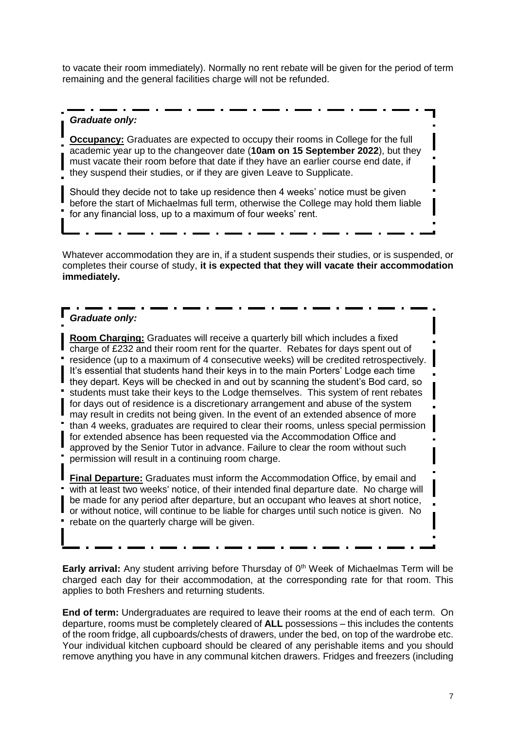to vacate their room immediately). Normally no rent rebate will be given for the period of term remaining and the general facilities charge will not be refunded.

#### *Graduate only:*

**Occupancy:** Graduates are expected to occupy their rooms in College for the full academic year up to the changeover date (**10am on 15 September 2022**), but they must vacate their room before that date if they have an earlier course end date, if they suspend their studies, or if they are given Leave to Supplicate.

Should they decide not to take up residence then 4 weeks' notice must be given before the start of Michaelmas full term, otherwise the College may hold them liable for any financial loss, up to a maximum of four weeks' rent.

Whatever accommodation they are in, if a student suspends their studies, or is suspended, or completes their course of study, **it is expected that they will vacate their accommodation immediately.** 

## *Graduate only:*

**Room Charging:** Graduates will receive a quarterly bill which includes a fixed charge of £232 and their room rent for the quarter. Rebates for days spent out of residence (up to a maximum of 4 consecutive weeks) will be credited retrospectively. It's essential that students hand their keys in to the main Porters' Lodge each time they depart. Keys will be checked in and out by scanning the student's Bod card, so students must take their keys to the Lodge themselves. This system of rent rebates for days out of residence is a discretionary arrangement and abuse of the system may result in credits not being given. In the event of an extended absence of more than 4 weeks, graduates are required to clear their rooms, unless special permission for extended absence has been requested via the Accommodation Office and approved by the Senior Tutor in advance. Failure to clear the room without such permission will result in a continuing room charge.

**Final Departure:** Graduates must inform the Accommodation Office, by email and with at least two weeks' notice, of their intended final departure date. No charge will be made for any period after departure, but an occupant who leaves at short notice, or without notice, will continue to be liable for charges until such notice is given. No rebate on the quarterly charge will be given.

<span id="page-6-0"></span>**Early arrival:** Any student arriving before Thursday of 0<sup>th</sup> Week of Michaelmas Term will be charged each day for their accommodation, at the corresponding rate for that room. This applies to both Freshers and returning students.

<span id="page-6-1"></span>**End of term:** Undergraduates are required to leave their rooms at the end of each term. On departure, rooms must be completely cleared of **ALL** possessions – this includes the contents of the room fridge, all cupboards/chests of drawers, under the bed, on top of the wardrobe etc. Your individual kitchen cupboard should be cleared of any perishable items and you should remove anything you have in any communal kitchen drawers. Fridges and freezers (including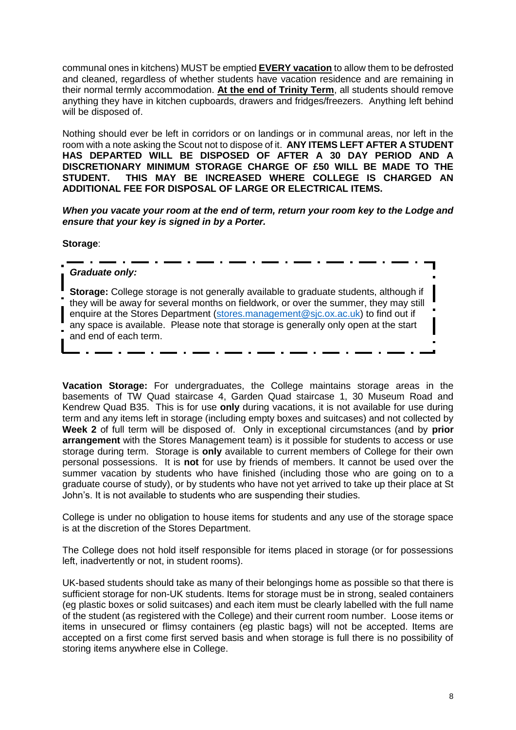communal ones in kitchens) MUST be emptied **EVERY vacation** to allow them to be defrosted and cleaned, regardless of whether students have vacation residence and are remaining in their normal termly accommodation. **At the end of Trinity Term**, all students should remove anything they have in kitchen cupboards, drawers and fridges/freezers. Anything left behind will be disposed of.

Nothing should ever be left in corridors or on landings or in communal areas, nor left in the room with a note asking the Scout not to dispose of it. **ANY ITEMS LEFT AFTER A STUDENT HAS DEPARTED WILL BE DISPOSED OF AFTER A 30 DAY PERIOD AND A DISCRETIONARY MINIMUM STORAGE CHARGE OF £50 WILL BE MADE TO THE STUDENT. THIS MAY BE INCREASED WHERE COLLEGE IS CHARGED AN ADDITIONAL FEE FOR DISPOSAL OF LARGE OR ELECTRICAL ITEMS.**

*When you vacate your room at the end of term, return your room key to the Lodge and ensure that your key is signed in by a Porter.* 

**Storage**:

#### *Graduate only:*

**Storage:** College storage is not generally available to graduate students, although if they will be away for several months on fieldwork, or over the summer, they may still enquire at the Stores Department [\(stores.management@sjc.ox.ac.uk\)](mailto:stores.management@sjc.ox.ac.uk) to find out if any space is available. Please note that storage is generally only open at the start and end of each term.

<span id="page-7-0"></span>**Vacation Storage:** For undergraduates, the College maintains storage areas in the basements of TW Quad staircase 4, Garden Quad staircase 1, 30 Museum Road and Kendrew Quad B35. This is for use **only** during vacations, it is not available for use during term and any items left in storage (including empty boxes and suitcases) and not collected by **Week 2** of full term will be disposed of. Only in exceptional circumstances (and by **prior arrangement** with the Stores Management team) is it possible for students to access or use storage during term. Storage is **only** available to current members of College for their own personal possessions. It is **not** for use by friends of members. It cannot be used over the summer vacation by students who have finished (including those who are going on to a graduate course of study), or by students who have not yet arrived to take up their place at St John's. It is not available to students who are suspending their studies.

College is under no obligation to house items for students and any use of the storage space is at the discretion of the Stores Department.

The College does not hold itself responsible for items placed in storage (or for possessions left, inadvertently or not, in student rooms).

UK-based students should take as many of their belongings home as possible so that there is sufficient storage for non-UK students. Items for storage must be in strong, sealed containers (eg plastic boxes or solid suitcases) and each item must be clearly labelled with the full name of the student (as registered with the College) and their current room number. Loose items or items in unsecured or flimsy containers (eg plastic bags) will not be accepted. Items are accepted on a first come first served basis and when storage is full there is no possibility of storing items anywhere else in College.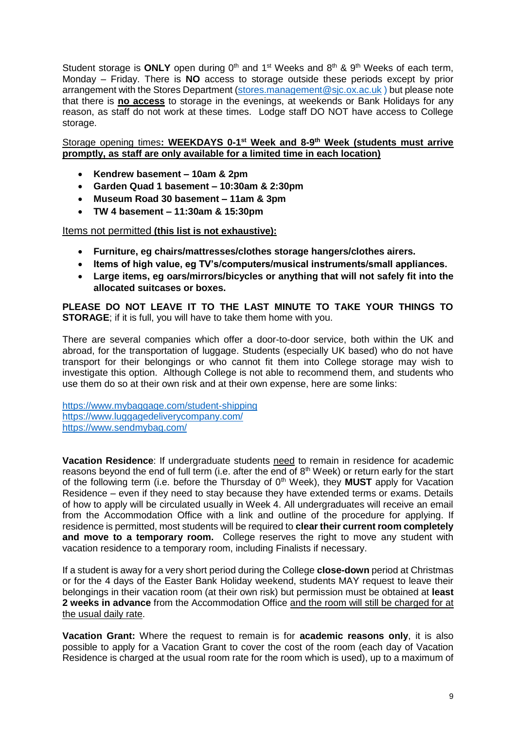Student storage is **ONLY** open during  $0<sup>th</sup>$  and  $1<sup>st</sup>$  Weeks and  $8<sup>th</sup>$  &  $9<sup>th</sup>$  Weeks of each term, Monday – Friday. There is **NO** access to storage outside these periods except by prior arrangement with the Stores Department [\(stores.management@sjc.ox.ac.uk](mailto:stores.management@sjc.ox.ac.uk) ) but please note that there is **no access** to storage in the evenings, at weekends or Bank Holidays for any reason, as staff do not work at these times. Lodge staff DO NOT have access to College storage.

<span id="page-8-0"></span>Storage opening times: WEEKDAYS 0-1<sup>st</sup> Week and 8-9<sup>th</sup> Week (students must arrive **promptly, as staff are only available for a limited time in each location)**

- **Kendrew basement – 10am & 2pm**
- **Garden Quad 1 basement – 10:30am & 2:30pm**
- **Museum Road 30 basement – 11am & 3pm**
- **TW 4 basement – 11:30am & 15:30pm**

<span id="page-8-1"></span>Items not permitted **(this list is not exhaustive):**

- **Furniture, eg chairs/mattresses/clothes storage hangers/clothes airers.**
- **Items of high value, eg TV's/computers/musical instruments/small appliances.**
- **Large items, eg oars/mirrors/bicycles or anything that will not safely fit into the allocated suitcases or boxes.**

**PLEASE DO NOT LEAVE IT TO THE LAST MINUTE TO TAKE YOUR THINGS TO STORAGE**; if it is full, you will have to take them home with you.

There are several companies which offer a door-to-door service, both within the UK and abroad, for the transportation of luggage. Students (especially UK based) who do not have transport for their belongings or who cannot fit them into College storage may wish to investigate this option. Although College is not able to recommend them, and students who use them do so at their own risk and at their own expense, here are some links:

<https://www.mybaggage.com/student-shipping> [https://www.luggagedeliverycompany.com/](https://www.luggagedeliverycompany.com/?gclid=EAIaIQobChMIz9Pj5rL_4AIVkK_ICh1K8wZCEAAYAyAAEgI8TPD_BwE) <https://www.sendmybag.com/>

<span id="page-8-2"></span>**Vacation Residence**: If undergraduate students need to remain in residence for academic reasons beyond the end of full term (i.e. after the end of 8<sup>th</sup> Week) or return early for the start of the following term (i.e. before the Thursday of 0th Week), they **MUST** apply for Vacation Residence – even if they need to stay because they have extended terms or exams. Details of how to apply will be circulated usually in Week 4. All undergraduates will receive an email from the Accommodation Office with a link and outline of the procedure for applying. If residence is permitted, most students will be required to **clear their current room completely and move to a temporary room.** College reserves the right to move any student with vacation residence to a temporary room, including Finalists if necessary.

If a student is away for a very short period during the College **close-down** period at Christmas or for the 4 days of the Easter Bank Holiday weekend, students MAY request to leave their belongings in their vacation room (at their own risk) but permission must be obtained at **least 2 weeks in advance** from the Accommodation Office and the room will still be charged for at the usual daily rate.

**Vacation Grant:** Where the request to remain is for **academic reasons only**, it is also possible to apply for a Vacation Grant to cover the cost of the room (each day of Vacation Residence is charged at the usual room rate for the room which is used), up to a maximum of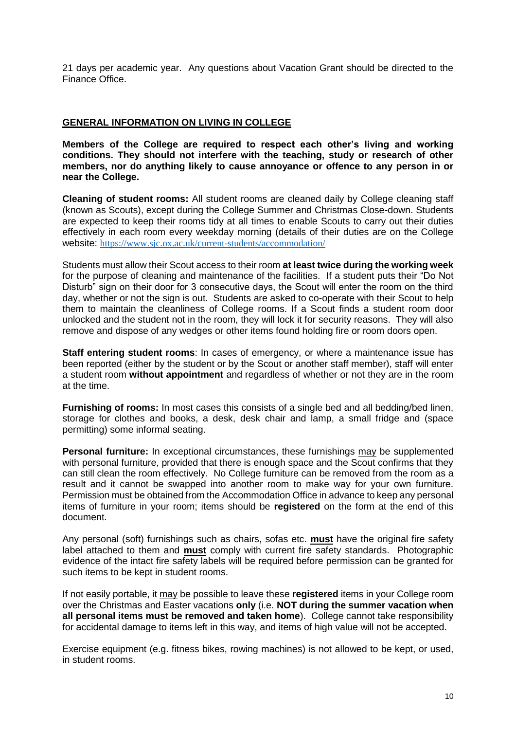21 days per academic year. Any questions about Vacation Grant should be directed to the Finance Office.

#### <span id="page-9-0"></span>**GENERAL INFORMATION ON LIVING IN COLLEGE**

**Members of the College are required to respect each other's living and working conditions. They should not interfere with the teaching, study or research of other members, nor do anything likely to cause annoyance or offence to any person in or near the College.**

<span id="page-9-1"></span>**Cleaning of student rooms:** All student rooms are cleaned daily by College cleaning staff (known as Scouts), except during the College Summer and Christmas Close-down. Students are expected to keep their rooms tidy at all times to enable Scouts to carry out their duties effectively in each room every weekday morning (details of their duties are on the College website: <https://www.sjc.ox.ac.uk/current-students/accommodation/>

Students must allow their Scout access to their room **at least twice during the working week**  for the purpose of cleaning and maintenance of the facilities. If a student puts their "Do Not Disturb" sign on their door for 3 consecutive days, the Scout will enter the room on the third day, whether or not the sign is out. Students are asked to co-operate with their Scout to help them to maintain the cleanliness of College rooms. If a Scout finds a student room door unlocked and the student not in the room, they will lock it for security reasons. They will also remove and dispose of any wedges or other items found holding fire or room doors open.

<span id="page-9-2"></span>**Staff entering student rooms:** In cases of emergency, or where a maintenance issue has been reported (either by the student or by the Scout or another staff member), staff will enter a student room **without appointment** and regardless of whether or not they are in the room at the time.

<span id="page-9-3"></span>**Furnishing of rooms:** In most cases this consists of a single bed and all bedding/bed linen, storage for clothes and books, a desk, desk chair and lamp, a small fridge and (space permitting) some informal seating.

<span id="page-9-4"></span>**Personal furniture:** In exceptional circumstances, these furnishings may be supplemented with personal furniture, provided that there is enough space and the Scout confirms that they can still clean the room effectively. No College furniture can be removed from the room as a result and it cannot be swapped into another room to make way for your own furniture. Permission must be obtained from the Accommodation Office in advance to keep any personal items of furniture in your room; items should be **registered** on the form at the end of this document.

Any personal (soft) furnishings such as chairs, sofas etc. **must** have the original fire safety label attached to them and **must** comply with current fire safety standards. Photographic evidence of the intact fire safety labels will be required before permission can be granted for such items to be kept in student rooms.

If not easily portable, it may be possible to leave these **registered** items in your College room over the Christmas and Easter vacations **only** (i.e. **NOT during the summer vacation when all personal items must be removed and taken home**). College cannot take responsibility for accidental damage to items left in this way, and items of high value will not be accepted.

Exercise equipment (e.g. fitness bikes, rowing machines) is not allowed to be kept, or used, in student rooms.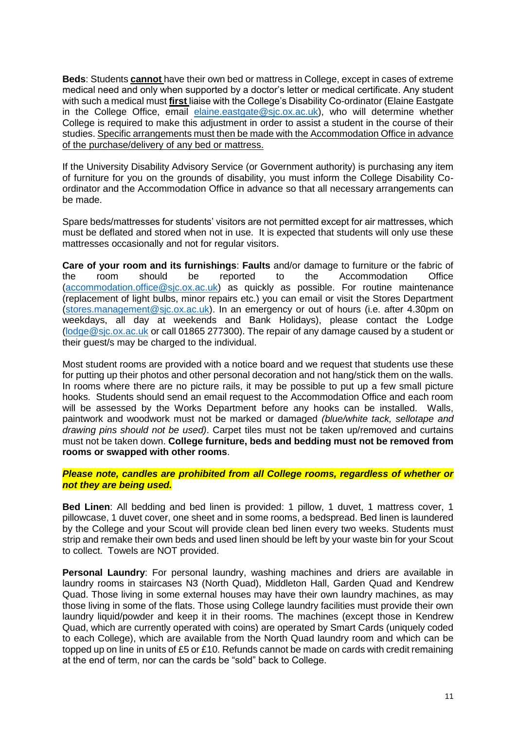<span id="page-10-0"></span>**Beds**: Students **cannot** have their own bed or mattress in College, except in cases of extreme medical need and only when supported by a doctor's letter or medical certificate. Any student with such a medical must **first** liaise with the College's Disability Co-ordinator (Elaine Eastgate in the College Office, email [elaine.eastgate@sjc.ox.ac.uk\)](mailto:elaine.eastgate@sjc.ox.ac.uk), who will determine whether College is required to make this adjustment in order to assist a student in the course of their studies. Specific arrangements must then be made with the Accommodation Office in advance of the purchase/delivery of any bed or mattress.

If the University Disability Advisory Service (or Government authority) is purchasing any item of furniture for you on the grounds of disability, you must inform the College Disability Coordinator and the Accommodation Office in advance so that all necessary arrangements can be made.

Spare beds/mattresses for students' visitors are not permitted except for air mattresses, which must be deflated and stored when not in use. It is expected that students will only use these mattresses occasionally and not for regular visitors.

<span id="page-10-1"></span>**Care of your room and its furnishings**: **Faults** and/or damage to furniture or the fabric of the room should be reported to the Accommodation Office [\(accommodation.office@sjc.ox.ac.uk\)](mailto:accommodation.office@sjc.ox.ac.uk) as quickly as possible. For routine maintenance (replacement of light bulbs, minor repairs etc.) you can email or visit the Stores Department [\(stores.management@sjc.ox.ac.uk\)](mailto:stores.management@sjc.ox.ac.uk). In an emergency or out of hours (i.e. after 4.30pm on weekdays, all day at weekends and Bank Holidays), please contact the Lodge [\(lodge@sjc.ox.ac.uk](mailto:lodge@sjc.ox.ac.uk) or call 01865 277300). The repair of any damage caused by a student or their guest/s may be charged to the individual.

Most student rooms are provided with a notice board and we request that students use these for putting up their photos and other personal decoration and not hang/stick them on the walls. In rooms where there are no picture rails, it may be possible to put up a few small picture hooks. Students should send an email request to the Accommodation Office and each room will be assessed by the Works Department before any hooks can be installed. Walls, paintwork and woodwork must not be marked or damaged *(blue/white tack, sellotape and drawing pins should not be used)*. Carpet tiles must not be taken up/removed and curtains must not be taken down. **College furniture, beds and bedding must not be removed from rooms or swapped with other rooms**.

#### *Please note, candles are prohibited from all College rooms, regardless of whether or not they are being used.*

<span id="page-10-2"></span>**Bed Linen**: All bedding and bed linen is provided: 1 pillow, 1 duvet, 1 mattress cover, 1 pillowcase, 1 duvet cover, one sheet and in some rooms, a bedspread. Bed linen is laundered by the College and your Scout will provide clean bed linen every two weeks. Students must strip and remake their own beds and used linen should be left by your waste bin for your Scout to collect. Towels are NOT provided.

<span id="page-10-3"></span>**Personal Laundry**: For personal laundry, washing machines and driers are available in laundry rooms in staircases N3 (North Quad), Middleton Hall, Garden Quad and Kendrew Quad. Those living in some external houses may have their own laundry machines, as may those living in some of the flats. Those using College laundry facilities must provide their own laundry liquid/powder and keep it in their rooms. The machines (except those in Kendrew Quad, which are currently operated with coins) are operated by Smart Cards (uniquely coded to each College), which are available from the North Quad laundry room and which can be topped up on line in units of £5 or £10. Refunds cannot be made on cards with credit remaining at the end of term, nor can the cards be "sold" back to College.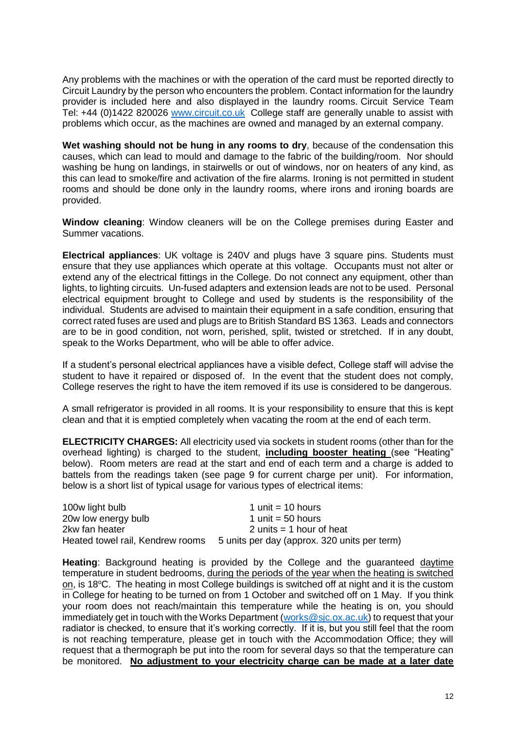Any problems with the machines or with the operation of the card must be reported directly to Circuit Laundry by the person who encounters the problem. Contact information for the laundry provider is included here and also displayed in the laundry rooms. Circuit Service Team Tel: +44 (0)1422 820026 [www.circuit.co.uk](http://www.circuit.co.uk/) College staff are generally unable to assist with problems which occur, as the machines are owned and managed by an external company.

**Wet washing should not be hung in any rooms to dry**, because of the condensation this causes, which can lead to mould and damage to the fabric of the building/room. Nor should washing be hung on landings, in stairwells or out of windows, nor on heaters of any kind, as this can lead to smoke/fire and activation of the fire alarms. Ironing is not permitted in student rooms and should be done only in the laundry rooms, where irons and ironing boards are provided.

<span id="page-11-0"></span>**Window cleaning**: Window cleaners will be on the College premises during Easter and Summer vacations.

<span id="page-11-1"></span>**Electrical appliances**: UK voltage is 240V and plugs have 3 square pins. Students must ensure that they use appliances which operate at this voltage. Occupants must not alter or extend any of the electrical fittings in the College. Do not connect any equipment, other than lights, to lighting circuits. Un-fused adapters and extension leads are not to be used. Personal electrical equipment brought to College and used by students is the responsibility of the individual. Students are advised to maintain their equipment in a safe condition, ensuring that correct rated fuses are used and plugs are to British Standard BS 1363. Leads and connectors are to be in good condition, not worn, perished, split, twisted or stretched. If in any doubt, speak to the Works Department, who will be able to offer advice.

If a student's personal electrical appliances have a visible defect, College staff will advise the student to have it repaired or disposed of. In the event that the student does not comply, College reserves the right to have the item removed if its use is considered to be dangerous.

A small refrigerator is provided in all rooms. It is your responsibility to ensure that this is kept clean and that it is emptied completely when vacating the room at the end of each term.

<span id="page-11-2"></span>**ELECTRICITY CHARGES:** All electricity used via sockets in student rooms (other than for the overhead lighting) is charged to the student, **including booster heating** (see "Heating" below). Room meters are read at the start and end of each term and a charge is added to battels from the readings taken (see page 9 for current charge per unit). For information, below is a short list of typical usage for various types of electrical items:

| 100w light bulb                  | 1 unit $=$ 10 hours                          |
|----------------------------------|----------------------------------------------|
| 20w low energy bulb              | 1 unit = $50$ hours                          |
| 2kw fan heater                   | 2 units $=$ 1 hour of heat                   |
| Heated towel rail, Kendrew rooms | 5 units per day (approx. 320 units per term) |

**Heating**: Background heating is provided by the College and the guaranteed daytime temperature in student bedrooms, during the periods of the year when the heating is switched on, is 18°C. The heating in most College buildings is switched off at night and it is the custom in College for heating to be turned on from 1 October and switched off on 1 May. If you think your room does not reach/maintain this temperature while the heating is on, you should immediately get in touch with the Works Department [\(works@sjc.ox.ac.uk\)](mailto:works@sjc.ox.ac.uk) to request that your radiator is checked, to ensure that it's working correctly. If it is, but you still feel that the room is not reaching temperature, please get in touch with the Accommodation Office; they will request that a thermograph be put into the room for several days so that the temperature can be monitored. **No adjustment to your electricity charge can be made at a later date**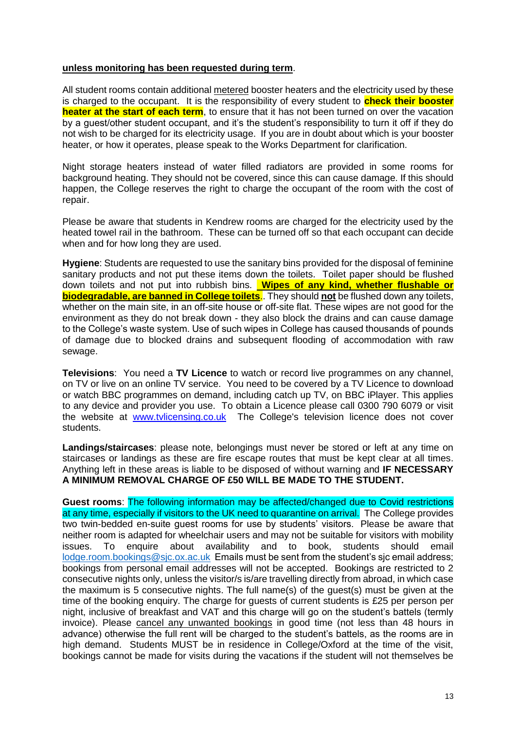#### **unless monitoring has been requested during term**.

All student rooms contain additional metered booster heaters and the electricity used by these is charged to the occupant. It is the responsibility of every student to **check their booster heater at the start of each term**, to ensure that it has not been turned on over the vacation by a guest/other student occupant, and it's the student's responsibility to turn it off if they do not wish to be charged for its electricity usage. If you are in doubt about which is your booster heater, or how it operates, please speak to the Works Department for clarification.

Night storage heaters instead of water filled radiators are provided in some rooms for background heating. They should not be covered, since this can cause damage. If this should happen, the College reserves the right to charge the occupant of the room with the cost of repair.

Please be aware that students in Kendrew rooms are charged for the electricity used by the heated towel rail in the bathroom. These can be turned off so that each occupant can decide when and for how long they are used.

<span id="page-12-0"></span>**Hygiene**: Students are requested to use the sanitary bins provided for the disposal of feminine sanitary products and not put these items down the toilets. Toilet paper should be flushed down toilets and not put into rubbish bins. **Wipes of any kind, whether flushable or biodegradable, are banned in College toilets**.. They should **not** be flushed down any toilets, whether on the main site, in an off-site house or off-site flat. These wipes are not good for the environment as they do not break down - they also block the drains and can cause damage to the College's waste system. Use of such wipes in College has caused thousands of pounds of damage due to blocked drains and subsequent flooding of accommodation with raw sewage.

<span id="page-12-1"></span>**Televisions**:You need a **TV Licence** to watch or record live programmes on any channel, on TV or live on an online TV service. You need to be covered by a TV Licence to download or watch BBC programmes on demand, including catch up TV, on BBC iPlayer. This applies to any device and provider you use. To obtain a Licence please call 0300 790 6079 or visit the website at [www.tvlicensing.co.uk](http://www.tvlicensing.co.uk/) The College's television licence does not cover students.

<span id="page-12-2"></span>**Landings/staircases**: please note, belongings must never be stored or left at any time on staircases or landings as these are fire escape routes that must be kept clear at all times. Anything left in these areas is liable to be disposed of without warning and **IF NECESSARY A MINIMUM REMOVAL CHARGE OF £50 WILL BE MADE TO THE STUDENT.** 

<span id="page-12-3"></span>**Guest rooms**: The following information may be affected/changed due to Covid restrictions at any time, especially if visitors to the UK need to quarantine on arrival. The College provides two twin-bedded en-suite guest rooms for use by students' visitors. Please be aware that neither room is adapted for wheelchair users and may not be suitable for visitors with mobility issues. To enquire about availability and to book, students should email lodge.room.bookings@sic.ox.ac.uk Emails must be sent from the student's sic email address: bookings from personal email addresses will not be accepted. Bookings are restricted to 2 consecutive nights only, unless the visitor/s is/are travelling directly from abroad, in which case the maximum is 5 consecutive nights. The full name(s) of the guest(s) must be given at the time of the booking enquiry. The charge for guests of current students is £25 per person per night, inclusive of breakfast and VAT and this charge will go on the student's battels (termly invoice). Please cancel any unwanted bookings in good time (not less than 48 hours in advance) otherwise the full rent will be charged to the student's battels, as the rooms are in high demand. Students MUST be in residence in College/Oxford at the time of the visit, bookings cannot be made for visits during the vacations if the student will not themselves be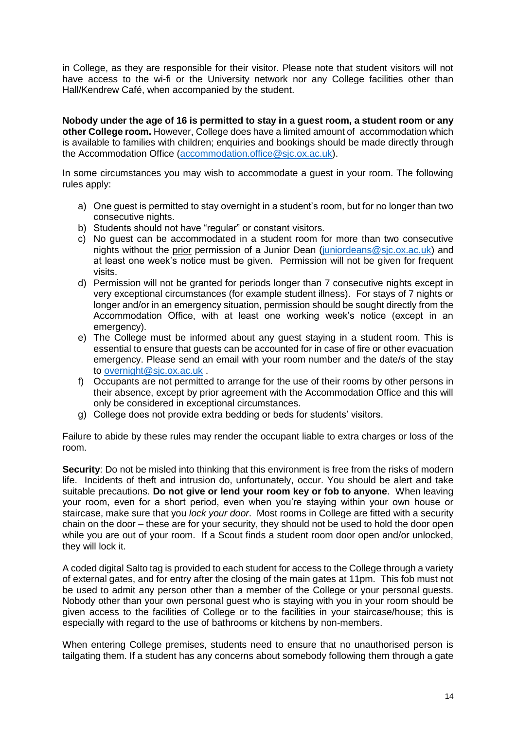in College, as they are responsible for their visitor. Please note that student visitors will not have access to the wi-fi or the University network nor any College facilities other than Hall/Kendrew Café, when accompanied by the student.

**Nobody under the age of 16 is permitted to stay in a guest room, a student room or any other College room.** However, College does have a limited amount of accommodation which is available to families with children; enquiries and bookings should be made directly through the Accommodation Office [\(accommodation.office@sjc.ox.ac.uk\)](mailto:accommodation.office@sjc.ox.ac.uk).

In some circumstances you may wish to accommodate a guest in your room. The following rules apply:

- a) One guest is permitted to stay overnight in a student's room, but for no longer than two consecutive nights.
- b) Students should not have "regular" or constant visitors.
- c) No guest can be accommodated in a student room for more than two consecutive nights without the prior permission of a Junior Dean [\(juniordeans@sjc.ox.ac.uk\)](mailto:juniordeans@sjc.ox.ac.uk) and at least one week's notice must be given. Permission will not be given for frequent visits.
- d) Permission will not be granted for periods longer than 7 consecutive nights except in very exceptional circumstances (for example student illness). For stays of 7 nights or longer and/or in an emergency situation, permission should be sought directly from the Accommodation Office, with at least one working week's notice (except in an emergency).
- e) The College must be informed about any guest staying in a student room. This is essential to ensure that guests can be accounted for in case of fire or other evacuation emergency. Please send an email with your room number and the date/s of the stay to [overnight@sjc.ox.ac.uk](mailto:overnight@sjc.ox.ac.uk) .
- f) Occupants are not permitted to arrange for the use of their rooms by other persons in their absence, except by prior agreement with the Accommodation Office and this will only be considered in exceptional circumstances.
- g) College does not provide extra bedding or beds for students' visitors.

Failure to abide by these rules may render the occupant liable to extra charges or loss of the room.

<span id="page-13-0"></span>**Security**: Do not be misled into thinking that this environment is free from the risks of modern life. Incidents of theft and intrusion do, unfortunately, occur. You should be alert and take suitable precautions. **Do not give or lend your room key or fob to anyone**. When leaving your room, even for a short period, even when you're staying within your own house or staircase, make sure that you *lock your door*. Most rooms in College are fitted with a security chain on the door – these are for your security, they should not be used to hold the door open while you are out of your room. If a Scout finds a student room door open and/or unlocked, they will lock it.

A coded digital Salto tag is provided to each student for access to the College through a variety of external gates, and for entry after the closing of the main gates at 11pm. This fob must not be used to admit any person other than a member of the College or your personal guests. Nobody other than your own personal guest who is staying with you in your room should be given access to the facilities of College or to the facilities in your staircase/house; this is especially with regard to the use of bathrooms or kitchens by non-members.

When entering College premises, students need to ensure that no unauthorised person is tailgating them. If a student has any concerns about somebody following them through a gate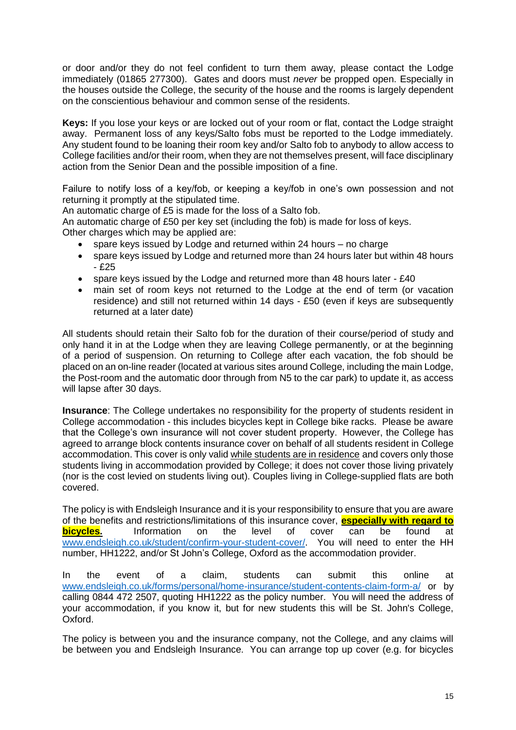or door and/or they do not feel confident to turn them away, please contact the Lodge immediately (01865 277300). Gates and doors must *never* be propped open. Especially in the houses outside the College, the security of the house and the rooms is largely dependent on the conscientious behaviour and common sense of the residents.

<span id="page-14-0"></span>**Keys:** If you lose your keys or are locked out of your room or flat, contact the Lodge straight away. Permanent loss of any keys/Salto fobs must be reported to the Lodge immediately. Any student found to be loaning their room key and/or Salto fob to anybody to allow access to College facilities and/or their room, when they are not themselves present, will face disciplinary action from the Senior Dean and the possible imposition of a fine.

Failure to notify loss of a key/fob, or keeping a key/fob in one's own possession and not returning it promptly at the stipulated time.

An automatic charge of £5 is made for the loss of a Salto fob.

An automatic charge of £50 per key set (including the fob) is made for loss of keys. Other charges which may be applied are:

- spare keys issued by Lodge and returned within 24 hours no charge
- spare keys issued by Lodge and returned more than 24 hours later but within 48 hours - £25
- spare keys issued by the Lodge and returned more than 48 hours later £40
- main set of room keys not returned to the Lodge at the end of term (or vacation residence) and still not returned within 14 days - £50 (even if keys are subsequently returned at a later date)

All students should retain their Salto fob for the duration of their course/period of study and only hand it in at the Lodge when they are leaving College permanently, or at the beginning of a period of suspension. On returning to College after each vacation, the fob should be placed on an on-line reader (located at various sites around College, including the main Lodge, the Post-room and the automatic door through from N5 to the car park) to update it, as access will lapse after 30 days.

<span id="page-14-1"></span>**Insurance**: The College undertakes no responsibility for the property of students resident in College accommodation - this includes bicycles kept in College bike racks. Please be aware that the College's own insurance will not cover student property. However, the College has agreed to arrange block contents insurance cover on behalf of all students resident in College accommodation. This cover is only valid while students are in residence and covers only those students living in accommodation provided by College; it does not cover those living privately (nor is the cost levied on students living out). Couples living in College-supplied flats are both covered.

The policy is with Endsleigh Insurance and it is your responsibility to ensure that you are aware of the benefits and restrictions/limitations of this insurance cover, **especially with regard to bicycles.** Information on the level of cover can be found at [www.endsleigh.co.uk/student/confirm-your-student-cover/.](http://www.endsleigh.co.uk/student/confirm-your-student-cover/) You will need to enter the HH number, HH1222, and/or St John's College, Oxford as the accommodation provider.

In the event of a claim, students can submit this online at [www.endsleigh.co.uk/forms/personal/home-insurance/student-contents-claim-form-a/](http://www.endsleigh.co.uk/forms/personal/home-insurance/student-contents-claim-form-a/) or by calling 0844 472 2507, quoting HH1222 as the policy number. You will need the address of your accommodation, if you know it, but for new students this will be St. John's College, Oxford.

The policy is between you and the insurance company, not the College, and any claims will be between you and Endsleigh Insurance. You can arrange top up cover (e.g. for bicycles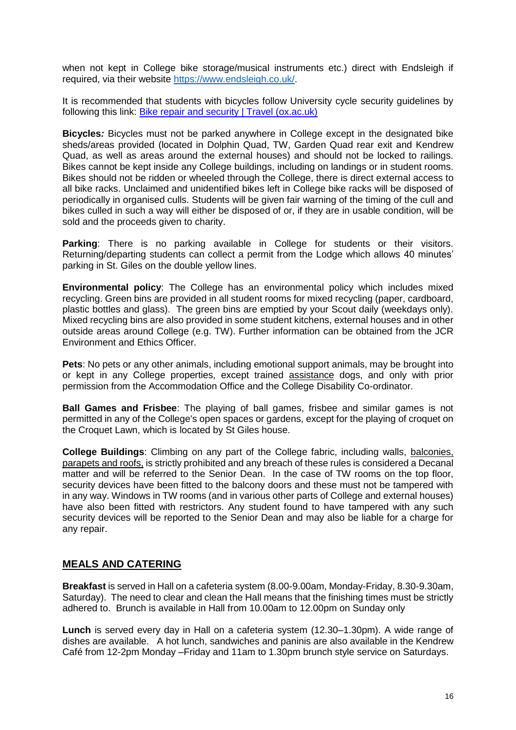when not kept in College bike storage/musical instruments etc.) direct with Endsleigh if required, via their website [https://www.endsleigh.co.uk/.](https://www.endsleigh.co.uk/)

It is recommended that students with bicycles follow University cycle security guidelines by following this link: [Bike repair and security | Travel \(ox.ac.uk\)](https://travel.admin.ox.ac.uk/bike/security#collapse1004031)

<span id="page-15-0"></span>**Bicycles***:* Bicycles must not be parked anywhere in College except in the designated bike sheds/areas provided (located in Dolphin Quad, TW, Garden Quad rear exit and Kendrew Quad, as well as areas around the external houses) and should not be locked to railings. Bikes cannot be kept inside any College buildings, including on landings or in student rooms. Bikes should not be ridden or wheeled through the College, there is direct external access to all bike racks. Unclaimed and unidentified bikes left in College bike racks will be disposed of periodically in organised culls. Students will be given fair warning of the timing of the cull and bikes culled in such a way will either be disposed of or, if they are in usable condition, will be sold and the proceeds given to charity.

<span id="page-15-1"></span>**Parking**: There is no parking available in College for students or their visitors. Returning/departing students can collect a permit from the Lodge which allows 40 minutes' parking in St. Giles on the double yellow lines.

<span id="page-15-2"></span>**Environmental policy**: The College has an environmental policy which includes mixed recycling. Green bins are provided in all student rooms for mixed recycling (paper, cardboard, plastic bottles and glass). The green bins are emptied by your Scout daily (weekdays only). Mixed recycling bins are also provided in some student kitchens, external houses and in other outside areas around College (e.g. TW). Further information can be obtained from the JCR Environment and Ethics Officer.

<span id="page-15-3"></span>**Pets**: No pets or any other animals, including emotional support animals, may be brought into or kept in any College properties, except trained assistance dogs, and only with prior permission from the Accommodation Office and the College Disability Co-ordinator.

<span id="page-15-4"></span>**Ball Games and Frisbee**: The playing of ball games, frisbee and similar games is not permitted in any of the College's open spaces or gardens, except for the playing of croquet on the Croquet Lawn, which is located by St Giles house.

<span id="page-15-5"></span>**College Buildings:** Climbing on any part of the College fabric, including walls, balconies, parapets and roofs, is strictly prohibited and any breach of these rules is considered a Decanal matter and will be referred to the Senior Dean. In the case of TW rooms on the top floor, security devices have been fitted to the balcony doors and these must not be tampered with in any way. Windows in TW rooms (and in various other parts of College and external houses) have also been fitted with restrictors. Any student found to have tampered with any such security devices will be reported to the Senior Dean and may also be liable for a charge for any repair.

## <span id="page-15-6"></span>**MEALS AND CATERING**

**Breakfast** is served in Hall on a cafeteria system (8.00-9.00am, Monday-Friday, 8.30-9.30am, Saturday). The need to clear and clean the Hall means that the finishing times must be strictly adhered to. Brunch is available in Hall from 10.00am to 12.00pm on Sunday only

**Lunch** is served every day in Hall on a cafeteria system (12.30–1.30pm). A wide range of dishes are available. A hot lunch, sandwiches and paninis are also available in the Kendrew Café from 12-2pm Monday –Friday and 11am to 1.30pm brunch style service on Saturdays.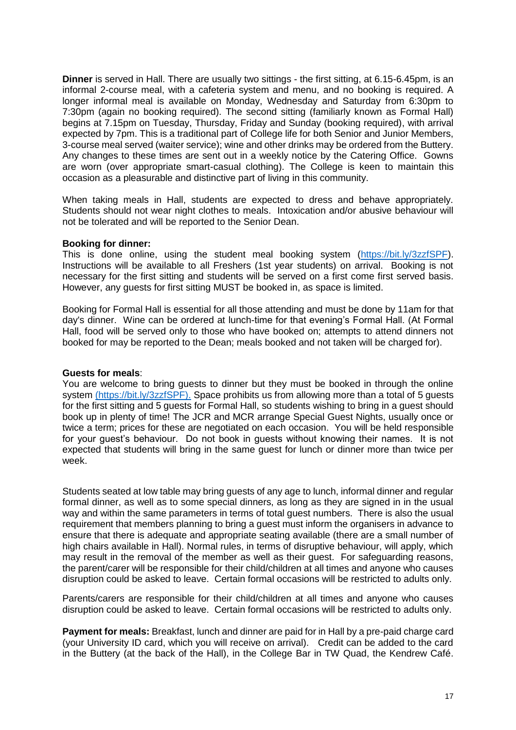<span id="page-16-0"></span>**Dinner** is served in Hall. There are usually two sittings - the first sitting, at 6.15-6.45pm, is an informal 2-course meal, with a cafeteria system and menu, and no booking is required. A longer informal meal is available on Monday, Wednesday and Saturday from 6:30pm to 7:30pm (again no booking required). The second sitting (familiarly known as Formal Hall) begins at 7.15pm on Tuesday, Thursday, Friday and Sunday (booking required), with arrival expected by 7pm. This is a traditional part of College life for both Senior and Junior Members, 3-course meal served (waiter service); wine and other drinks may be ordered from the Buttery. Any changes to these times are sent out in a weekly notice by the Catering Office. Gowns are worn (over appropriate smart-casual clothing). The College is keen to maintain this occasion as a pleasurable and distinctive part of living in this community.

When taking meals in Hall, students are expected to dress and behave appropriately. Students should not wear night clothes to meals. Intoxication and/or abusive behaviour will not be tolerated and will be reported to the Senior Dean.

#### <span id="page-16-1"></span>**Booking for dinner:**

This is done online, using the student meal booking system [\(https://bit.ly/3zzfSPF\)](https://hall.sjc.ox.ac.uk/?_ga=2.168157475.346408160.1629812529-1484925721.1549451246). Instructions will be available to all Freshers (1st year students) on arrival. Booking is not necessary for the first sitting and students will be served on a first come first served basis. However, any guests for first sitting MUST be booked in, as space is limited.

Booking for Formal Hall is essential for all those attending and must be done by 11am for that day's dinner. Wine can be ordered at lunch-time for that evening's Formal Hall. (At Formal Hall, food will be served only to those who have booked on; attempts to attend dinners not booked for may be reported to the Dean; meals booked and not taken will be charged for).

#### <span id="page-16-2"></span>**Guests for meals**:

You are welcome to bring guests to dinner but they must be booked in through the online system [\(https://bit.ly/3zzfSPF\).](https://bit.ly/3zzfSPF) Space prohibits us from allowing more than a total of 5 guests for the first sitting and 5 quests for Formal Hall, so students wishing to bring in a quest should book up in plenty of time! The JCR and MCR arrange Special Guest Nights, usually once or twice a term; prices for these are negotiated on each occasion. You will be held responsible for your guest's behaviour. Do not book in guests without knowing their names. It is not expected that students will bring in the same guest for lunch or dinner more than twice per week.

Students seated at low table may bring guests of any age to lunch, informal dinner and regular formal dinner, as well as to some special dinners, as long as they are signed in in the usual way and within the same parameters in terms of total guest numbers. There is also the usual requirement that members planning to bring a guest must inform the organisers in advance to ensure that there is adequate and appropriate seating available (there are a small number of high chairs available in Hall). Normal rules, in terms of disruptive behaviour, will apply, which may result in the removal of the member as well as their guest. For safeguarding reasons, the parent/carer will be responsible for their child/children at all times and anyone who causes disruption could be asked to leave. Certain formal occasions will be restricted to adults only.

Parents/carers are responsible for their child/children at all times and anyone who causes disruption could be asked to leave. Certain formal occasions will be restricted to adults only.

<span id="page-16-3"></span>**Payment for meals:** Breakfast, lunch and dinner are paid for in Hall by a pre-paid charge card (your University ID card, which you will receive on arrival). Credit can be added to the card in the Buttery (at the back of the Hall), in the College Bar in TW Quad, the Kendrew Café.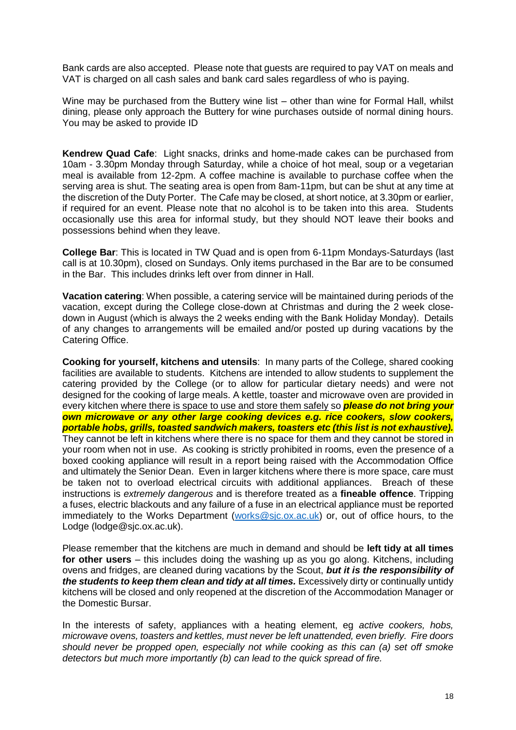Bank cards are also accepted. Please note that guests are required to pay VAT on meals and VAT is charged on all cash sales and bank card sales regardless of who is paying.

Wine may be purchased from the Buttery wine list – other than wine for Formal Hall, whilst dining, please only approach the Buttery for wine purchases outside of normal dining hours. You may be asked to provide ID

<span id="page-17-0"></span>**Kendrew Quad Cafe**: Light snacks, drinks and home-made cakes can be purchased from 10am - 3.30pm Monday through Saturday, while a choice of hot meal, soup or a vegetarian meal is available from 12-2pm. A coffee machine is available to purchase coffee when the serving area is shut. The seating area is open from 8am-11pm, but can be shut at any time at the discretion of the Duty Porter. The Cafe may be closed, at short notice, at 3.30pm or earlier, if required for an event. Please note that no alcohol is to be taken into this area. Students occasionally use this area for informal study, but they should NOT leave their books and possessions behind when they leave.

<span id="page-17-1"></span>**College Bar**: This is located in TW Quad and is open from 6-11pm Mondays-Saturdays (last call is at 10.30pm), closed on Sundays. Only items purchased in the Bar are to be consumed in the Bar. This includes drinks left over from dinner in Hall.

<span id="page-17-2"></span>**Vacation catering**: When possible, a catering service will be maintained during periods of the vacation, except during the College close-down at Christmas and during the 2 week closedown in August (which is always the 2 weeks ending with the Bank Holiday Monday). Details of any changes to arrangements will be emailed and/or posted up during vacations by the Catering Office.

<span id="page-17-3"></span>**Cooking for yourself, kitchens and utensils**: In many parts of the College, shared cooking facilities are available to students. Kitchens are intended to allow students to supplement the catering provided by the College (or to allow for particular dietary needs) and were not designed for the cooking of large meals. A kettle, toaster and microwave oven are provided in every kitchen where there is space to use and store them safely so *please do not bring your own microwave or any other large cooking devices e.g. rice cookers, slow cookers, portable hobs, grills, toasted sandwich makers, toasters etc (this list is not exhaustive).* They cannot be left in kitchens where there is no space for them and they cannot be stored in your room when not in use. As cooking is strictly prohibited in rooms, even the presence of a boxed cooking appliance will result in a report being raised with the Accommodation Office and ultimately the Senior Dean. Even in larger kitchens where there is more space, care must be taken not to overload electrical circuits with additional appliances. Breach of these instructions is *extremely dangerous* and is therefore treated as a **fineable offence**. Tripping a fuses, electric blackouts and any failure of a fuse in an electrical appliance must be reported immediately to the Works Department [\(works@sjc.ox.ac.uk\)](mailto:works@sjc.ox.ac.uk) or, out of office hours, to the Lodge (lodge@sjc.ox.ac.uk).

Please remember that the kitchens are much in demand and should be **left tidy at all times for other users** – this includes doing the washing up as you go along. Kitchens, including ovens and fridges, are cleaned during vacations by the Scout, *but it is the responsibility of the students to keep them clean and tidy at all times.* Excessively dirty or continually untidy kitchens will be closed and only reopened at the discretion of the Accommodation Manager or the Domestic Bursar.

In the interests of safety, appliances with a heating element, eg *active cookers, hobs, microwave ovens, toasters and kettles, must never be left unattended, even briefly. Fire doors should never be propped open, especially not while cooking as this can (a) set off smoke detectors but much more importantly (b) can lead to the quick spread of fire.*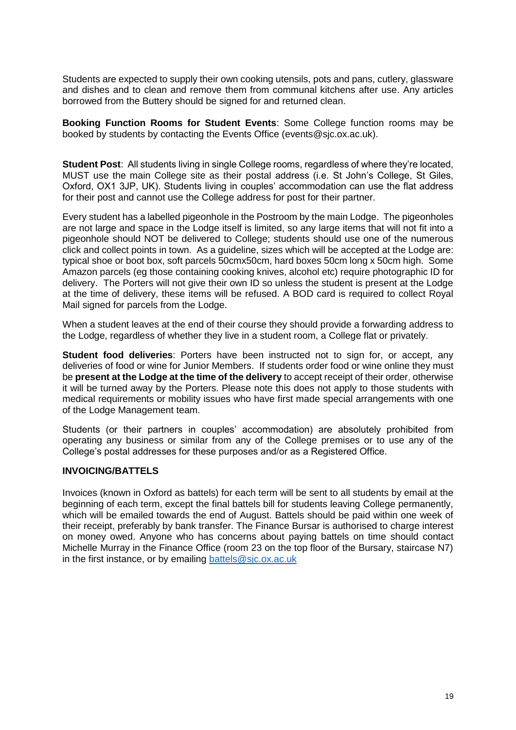Students are expected to supply their own cooking utensils, pots and pans, cutlery, glassware and dishes and to clean and remove them from communal kitchens after use. Any articles borrowed from the Buttery should be signed for and returned clean.

<span id="page-18-0"></span>**Booking Function Rooms for Student Events**: Some College function rooms may be booked by students by contacting the Events Office (events@sjc.ox.ac.uk).

<span id="page-18-1"></span>**Student Post**: All students living in single College rooms, regardless of where they're located, MUST use the main College site as their postal address (i.e. St John's College, St Giles, Oxford, OX1 3JP, UK). Students living in couples' accommodation can use the flat address for their post and cannot use the College address for post for their partner.

Every student has a labelled pigeonhole in the Postroom by the main Lodge. The pigeonholes are not large and space in the Lodge itself is limited, so any large items that will not fit into a pigeonhole should NOT be delivered to College; students should use one of the numerous click and collect points in town. As a guideline, sizes which will be accepted at the Lodge are: typical shoe or boot box, soft parcels 50cmx50cm, hard boxes 50cm long x 50cm high. Some Amazon parcels (eg those containing cooking knives, alcohol etc) require photographic ID for delivery. The Porters will not give their own ID so unless the student is present at the Lodge at the time of delivery, these items will be refused. A BOD card is required to collect Royal Mail signed for parcels from the Lodge.

When a student leaves at the end of their course they should provide a forwarding address to the Lodge, regardless of whether they live in a student room, a College flat or privately.

<span id="page-18-2"></span>**Student food deliveries**: Porters have been instructed not to sign for, or accept, any deliveries of food or wine for Junior Members. If students order food or wine online they must be **present at the Lodge at the time of the delivery** to accept receipt of their order, otherwise it will be turned away by the Porters. Please note this does not apply to those students with medical requirements or mobility issues who have first made special arrangements with one of the Lodge Management team.

Students (or their partners in couples' accommodation) are absolutely prohibited from operating any business or similar from any of the College premises or to use any of the College's postal addresses for these purposes and/or as a Registered Office.

#### <span id="page-18-3"></span>**INVOICING/BATTELS**

Invoices (known in Oxford as battels) for each term will be sent to all students by email at the beginning of each term, except the final battels bill for students leaving College permanently, which will be emailed towards the end of August. Battels should be paid within one week of their receipt, preferably by bank transfer. The Finance Bursar is authorised to charge interest on money owed. Anyone who has concerns about paying battels on time should contact Michelle Murray in the Finance Office (room 23 on the top floor of the Bursary, staircase N7) in the first instance, or by emailing [battels@sjc.ox.ac.uk](mailto:battels@sjc.ox.ac.uk)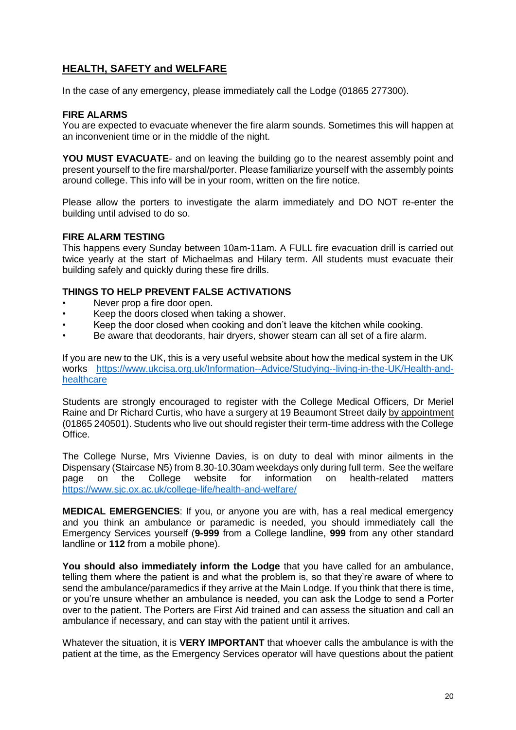# <span id="page-19-0"></span>**HEALTH, SAFETY and WELFARE**

In the case of any emergency, please immediately call the Lodge (01865 277300).

#### <span id="page-19-1"></span>**FIRE ALARMS**

You are expected to evacuate whenever the fire alarm sounds. Sometimes this will happen at an inconvenient time or in the middle of the night.

**YOU MUST EVACUATE**- and on leaving the building go to the nearest assembly point and present yourself to the fire marshal/porter. Please familiarize yourself with the assembly points around college. This info will be in your room, written on the fire notice.

Please allow the porters to investigate the alarm immediately and DO NOT re-enter the building until advised to do so.

#### <span id="page-19-2"></span>**FIRE ALARM TESTING**

This happens every Sunday between 10am-11am. A FULL fire evacuation drill is carried out twice yearly at the start of Michaelmas and Hilary term. All students must evacuate their building safely and quickly during these fire drills.

#### **THINGS TO HELP PREVENT FALSE ACTIVATIONS**

- Never prop a fire door open.
- Keep the doors closed when taking a shower.
- Keep the door closed when cooking and don't leave the kitchen while cooking.
- Be aware that deodorants, hair dryers, shower steam can all set of a fire alarm.

If you are new to the UK, this is a very useful website about how the medical system in the UK works [https://www.ukcisa.org.uk/Information--Advice/Studying--living-in-the-UK/Health-and](https://www.ukcisa.org.uk/Information--Advice/Studying--living-in-the-UK/Health-and-healthcare)[healthcare](https://www.ukcisa.org.uk/Information--Advice/Studying--living-in-the-UK/Health-and-healthcare)

Students are strongly encouraged to register with the College Medical Officers, Dr Meriel Raine and Dr Richard Curtis, who have a surgery at 19 Beaumont Street daily by appointment (01865 240501). Students who live out should register their term-time address with the College Office.

The College Nurse, Mrs Vivienne Davies, is on duty to deal with minor ailments in the Dispensary (Staircase N5) from 8.30-10.30am weekdays only during full term. See the welfare page on the College website for information on health-related matters <https://www.sjc.ox.ac.uk/college-life/health-and-welfare/>

<span id="page-19-3"></span>**MEDICAL EMERGENCIES**: If you, or anyone you are with, has a real medical emergency and you think an ambulance or paramedic is needed, you should immediately call the Emergency Services yourself (**9-999** from a College landline, **999** from any other standard landline or **112** from a mobile phone).

**You should also immediately inform the Lodge** that you have called for an ambulance, telling them where the patient is and what the problem is, so that they're aware of where to send the ambulance/paramedics if they arrive at the Main Lodge. If you think that there is time, or you're unsure whether an ambulance is needed, you can ask the Lodge to send a Porter over to the patient. The Porters are First Aid trained and can assess the situation and call an ambulance if necessary, and can stay with the patient until it arrives.

Whatever the situation, it is **VERY IMPORTANT** that whoever calls the ambulance is with the patient at the time, as the Emergency Services operator will have questions about the patient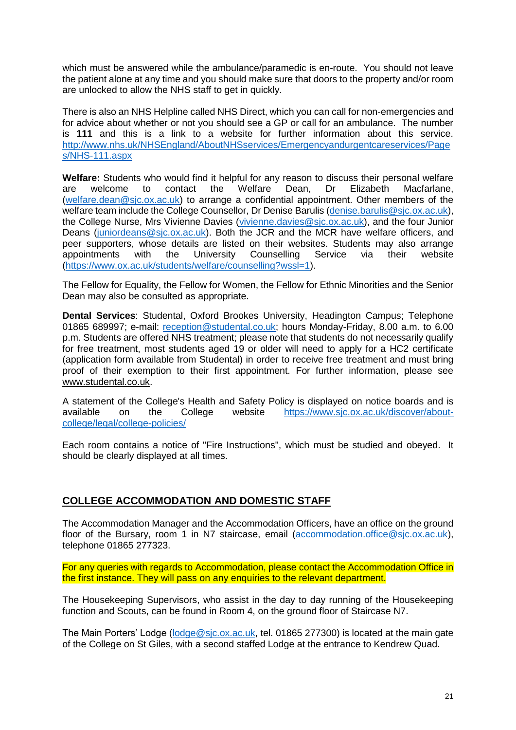which must be answered while the ambulance/paramedic is en-route. You should not leave the patient alone at any time and you should make sure that doors to the property and/or room are unlocked to allow the NHS staff to get in quickly.

There is also an NHS Helpline called NHS Direct, which you can call for non-emergencies and for advice about whether or not you should see a GP or call for an ambulance. The number is **111** and this is a link to a website for further information about this service. [http://www.nhs.uk/NHSEngland/AboutNHSservices/Emergencyandurgentcareservices/Page](http://www.nhs.uk/NHSEngland/AboutNHSservices/Emergencyandurgentcareservices/Pages/NHS-111.aspx) [s/NHS-111.aspx](http://www.nhs.uk/NHSEngland/AboutNHSservices/Emergencyandurgentcareservices/Pages/NHS-111.aspx)

<span id="page-20-0"></span>**Welfare:** Students who would find it helpful for any reason to discuss their personal welfare are welcome to contact the Welfare Dean, Dr Elizabeth Macfarlane, [\(welfare.dean@sjc.ox.ac.uk\)](mailto:welfare.dean@sjc.ox.ac.uk) to arrange a confidential appointment. Other members of the welfare team include the College Counsellor, Dr Denise Barulis [\(denise.barulis@sjc.ox.ac.uk\)](mailto:denise.barulis@sjc.ox.ac.uk), the College Nurse, Mrs Vivienne Davies [\(vivienne.davies@sjc.ox.ac.uk\)](mailto:vivienne.davies@sjc.ox.ac.uk), and the four Junior Deans [\(juniordeans@sjc.ox.ac.uk\)](mailto:juniordeans@sjc.ox.ac.uk). Both the JCR and the MCR have welfare officers, and peer supporters, whose details are listed on their websites. Students may also arrange appointments with the University Counselling Service via their website [\(https://www.ox.ac.uk/students/welfare/counselling?wssl=1\)](https://www.ox.ac.uk/students/welfare/counselling?wssl=1).

The Fellow for Equality, the Fellow for Women, the Fellow for Ethnic Minorities and the Senior Dean may also be consulted as appropriate.

<span id="page-20-1"></span>**Dental Services**: Studental, Oxford Brookes University, Headington Campus; Telephone 01865 689997; e-mail: [reception@studental.co.uk;](mailto:reception@studental.co.uk) hours Monday-Friday, 8.00 a.m. to 6.00 p.m. Students are offered NHS treatment; please note that students do not necessarily qualify for free treatment, most students aged 19 or older will need to apply for a HC2 certificate (application form available from Studental) in order to receive free treatment and must bring proof of their exemption to their first appointment. For further information, please see [www.studental.co.uk.](http://www.studental.co.uk/)

A statement of the College's Health and Safety Policy is displayed on notice boards and is available on the College website [https://www.sjc.ox.ac.uk/discover/about](https://www.sjc.ox.ac.uk/discover/about-college/legal/college-policies/)[college/legal/college-policies/](https://www.sjc.ox.ac.uk/discover/about-college/legal/college-policies/)

Each room contains a notice of "Fire Instructions", which must be studied and obeyed. It should be clearly displayed at all times.

## <span id="page-20-2"></span>**COLLEGE ACCOMMODATION AND DOMESTIC STAFF**

The Accommodation Manager and the Accommodation Officers, have an office on the ground floor of the Bursary, room 1 in N7 staircase, email [\(accommodation.office@sjc.ox.ac.uk\)](mailto:accommodation.office@sjc.ox.ac.uk), telephone 01865 277323.

For any queries with regards to Accommodation, please contact the Accommodation Office in the first instance. They will pass on any enquiries to the relevant department.

The Housekeeping Supervisors, who assist in the day to day running of the Housekeeping function and Scouts, can be found in Room 4, on the ground floor of Staircase N7.

The Main Porters' Lodge (lodge @sjc.ox.ac.uk, tel. 01865 277300) is located at the main gate of the College on St Giles, with a second staffed Lodge at the entrance to Kendrew Quad.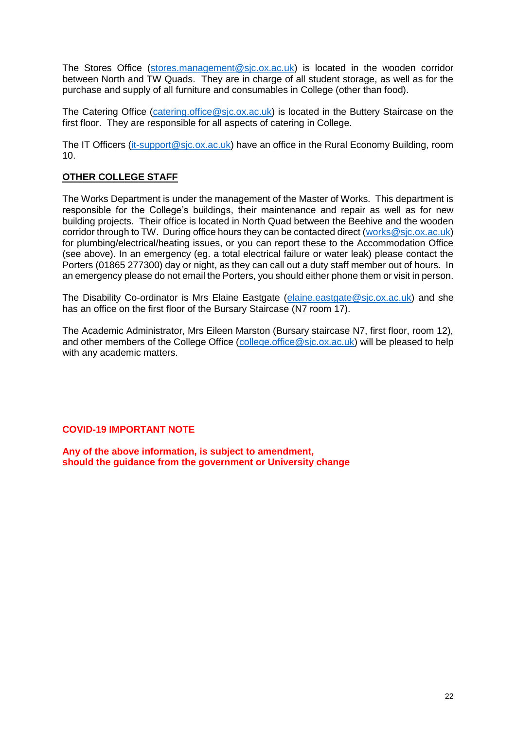The Stores Office [\(stores.management@sjc.ox.ac.uk\)](mailto:stores.management@sjc.ox.ac.uk) is located in the wooden corridor between North and TW Quads. They are in charge of all student storage, as well as for the purchase and supply of all furniture and consumables in College (other than food).

The Catering Office (catering office@sic.ox.ac.uk) is located in the Buttery Staircase on the first floor. They are responsible for all aspects of catering in College.

The IT Officers [\(it-support@sjc.ox.ac.uk\)](mailto:it-support@sjc.ox.ac.uk) have an office in the Rural Economy Building, room 10.

## <span id="page-21-0"></span>**OTHER COLLEGE STAFF**

The Works Department is under the management of the Master of Works. This department is responsible for the College's buildings, their maintenance and repair as well as for new building projects. Their office is located in North Quad between the Beehive and the wooden corridor through to TW. During office hours they can be contacted direct [\(works@sjc.ox.ac.uk\)](mailto:works@sjc.ox.ac.uk) for plumbing/electrical/heating issues, or you can report these to the Accommodation Office (see above). In an emergency (eg. a total electrical failure or water leak) please contact the Porters (01865 277300) day or night, as they can call out a duty staff member out of hours. In an emergency please do not email the Porters, you should either phone them or visit in person.

The Disability Co-ordinator is Mrs Elaine Eastgate [\(elaine.eastgate@sjc.ox.ac.uk\)](mailto:elaine.eastgate@sjc.ox.ac.uk) and she has an office on the first floor of the Bursary Staircase (N7 room 17).

The Academic Administrator, Mrs Eileen Marston (Bursary staircase N7, first floor, room 12), and other members of the College Office [\(college.office@sjc.ox.ac.uk\)](mailto:college.office@sjc.ox.ac.uk) will be pleased to help with any academic matters.

#### **COVID-19 IMPORTANT NOTE**

**Any of the above information, is subject to amendment, should the guidance from the government or University change**